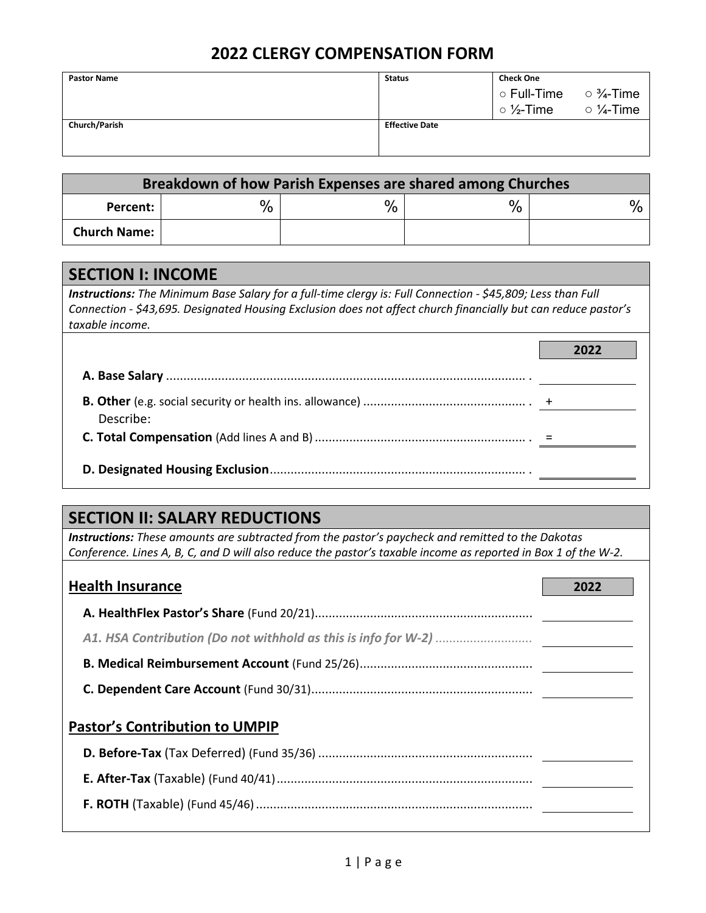## **2022 CLERGY COMPENSATION FORM**

| <b>Pastor Name</b>   | <b>Status</b>         | <b>Check One</b>                                               |                             |
|----------------------|-----------------------|----------------------------------------------------------------|-----------------------------|
|                      |                       | $\vert \circ$ Full-Time $\hphantom{a} \circ \frac{3}{4}$ -Time |                             |
|                      |                       | $\circ$ 1/ <sub>2</sub> -Time                                  | $\circ$ $\frac{1}{4}$ -Time |
| <b>Church/Parish</b> | <b>Effective Date</b> |                                                                |                             |
|                      |                       |                                                                |                             |
|                      |                       |                                                                |                             |

| Breakdown of how Parish Expenses are shared among Churches |      |      |      |  |  |
|------------------------------------------------------------|------|------|------|--|--|
| Percent:                                                   | $\%$ | $\%$ | $\%$ |  |  |
| <b>Church Name:</b>                                        |      |      |      |  |  |

## **SECTION I: INCOME**

*Instructions: The Minimum Base Salary for a full-time clergy is: Full Connection - \$45,809; Less than Full Connection - \$43,695. Designated Housing Exclusion does not affect church financially but can reduce pastor's taxable income.*

| Describe: |  |
|-----------|--|
|           |  |
|           |  |

## **SECTION II: SALARY REDUCTIONS**

*Instructions: These amounts are subtracted from the pastor's paycheck and remitted to the Dakotas Conference. Lines A, B, C, and D will also reduce the pastor's taxable income as reported in Box 1 of the W-2.*

| <b>Health Insurance</b>               | 2022 |
|---------------------------------------|------|
|                                       |      |
|                                       |      |
|                                       |      |
|                                       |      |
| <b>Pastor's Contribution to UMPIP</b> |      |
|                                       |      |
|                                       |      |
|                                       |      |
|                                       |      |